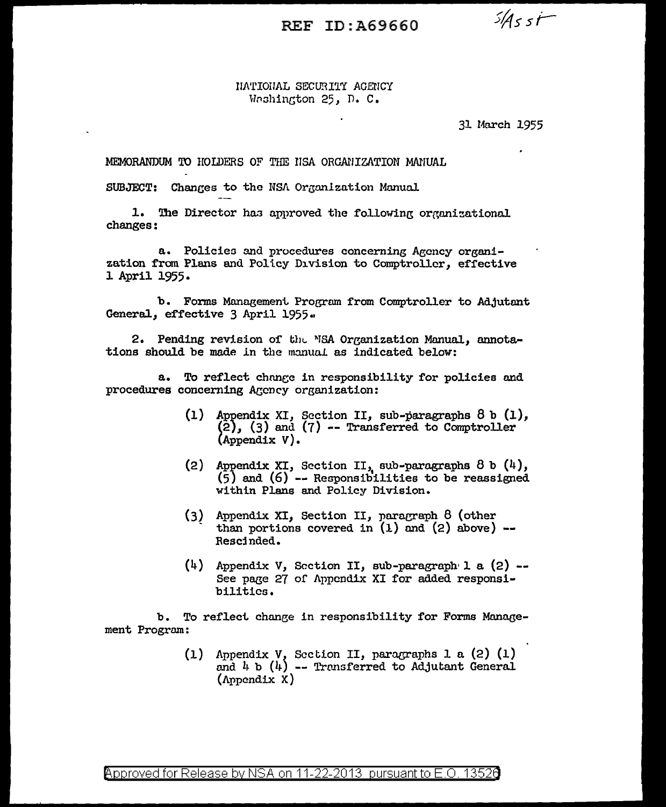## REF ID: A69660

 $5455t$ 

## NATIONAL SECURITY AGENCY Weshington 25. D. C.

## 31 March 1955

MEMORANDUM TO HOLDERS OF THE HSA ORGANIZATION MANUAL

SUBJECT: Changes to the NSA Organization Manual

1. The Director has approved the following organizational changes:

a. Policies and procedures concerning Agency organization from Plans and Policy Division to Comptroller, effective 1 April 1955.

b. Forms Management Program from Comptroller to Adjutant General, effective 3 April 1955.

2. Pending revision of the MSA Organization Manual, annotations should be made in the manual as indicated below:

To reflect change in responsibility for policies and  $a_{\bullet}$ procedures concerning Agency organization:

- $(1)$ Appendix XI, Section II, sub-paragraphs  $8 b (1)$ ,  $(2)$ ,  $(3)$  and  $(7)$  -- Transferred to Comptroller  $(Appendix V).$
- (2) Appendix XI, Section II, sub-paragraphs  $8$  b  $(4)$ ,  $(5)$  and  $(6)$  -- Responsibilities to be reassigned within Plans and Policy Division.
- $(3)$  Appendix XI, Section II, paragraph 8 (other than portions covered in  $(1)$  and  $(2)$  above) --Rescinded.
- $(4)$  Appendix V, Section II, sub-paragraph 1 a  $(2)$  --See page 27 of Appendix XI for added responsibilities.

To reflect change in responsibility for Forms Manageb. ment Program:

> Appendix V, Section II, paragraphs 1 a (2) (1) and  $l_i$  b ( $l_i$ ) -- Transferred to Adjutant General  $(1)$  $(\Lambda$ ppendix X)

Approved for Release by NSA on 11-22-2013 pursuant to E.O. 13526